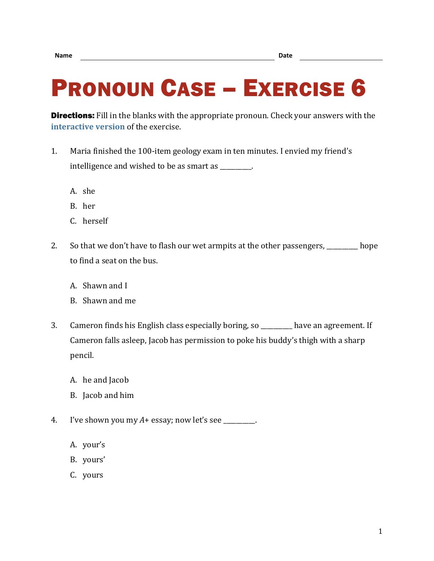## PRONOUN CASE – EXERCISE 6

**Directions:** Fill in the blanks with the appropriate pronoun. Check your answers with the **[interactive version](https://chompchomp.com/hotpotatoes/procase06.htm)** of the exercise.

- 1. Maria finished the 100-item geology exam in ten minutes. I envied my friend's intelligence and wished to be as smart as \_\_\_\_\_\_\_\_\_\_.
	- A. she
	- B. her
	- C. herself
- 2. So that we don't have to flash our wet armpits at the other passengers, \_\_\_\_\_\_\_\_ hope to find a seat on the bus.
	- A. Shawn and I
	- B. Shawn and me
- 3. Cameron finds his English class especially boring, so \_\_\_\_\_\_\_\_\_\_ have an agreement. If Cameron falls asleep, Jacob has permission to poke his buddy's thigh with a sharp pencil.
	- A. he and Jacob
	- B. Jacob and him
- 4. I've shown you my *A*+ essay; now let's see \_\_\_\_\_\_\_\_\_\_.
	- A. your's
	- B. yours'
	- C. yours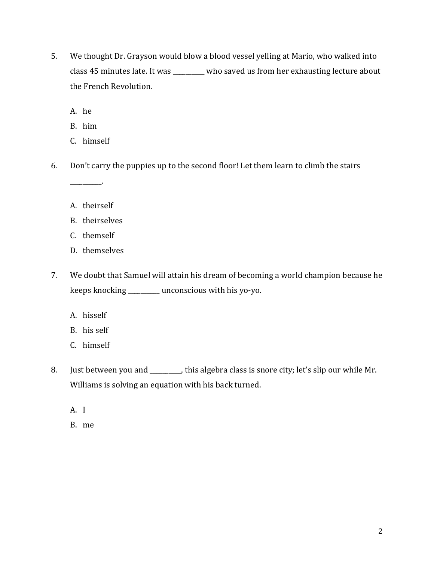5. We thought Dr. Grayson would blow a blood vessel yelling at Mario, who walked into class 45 minutes late. It was \_\_\_\_\_\_\_\_\_\_ who saved us from her exhausting lecture about the French Revolution.

A. he

B. him

- C. himself
- 6. Don't carry the puppies up to the second floor! Let them learn to climb the stairs
	- A. theirself

\_\_\_\_\_\_\_\_\_\_.

- B. theirselves
- C. themself
- D. themselves
- 7. We doubt that Samuel will attain his dream of becoming a world champion because he keeps knocking \_\_\_\_\_\_\_\_\_\_ unconscious with his yo-yo.
	- A. hisself
	- B. his self
	- C. himself
- 8. Just between you and \_\_\_\_\_\_\_\_, this algebra class is snore city; let's slip our while Mr. Williams is solving an equation with his back turned.
	- A. I
	- B. me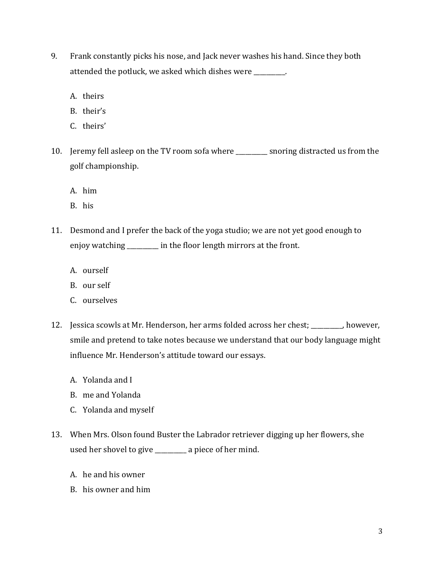- 9. Frank constantly picks his nose, and Jack never washes his hand. Since they both attended the potluck, we asked which dishes were \_\_\_\_\_\_\_\_\_\_.
	- A. theirs
	- B. their's
	- C. theirs'
- 10. Jeremy fell asleep on the TV room sofa where \_\_\_\_\_\_\_\_\_\_ snoring distracted us from the golf championship.
	- A. him
	- B. his
- 11. Desmond and I prefer the back of the yoga studio; we are not yet good enough to enjoy watching \_\_\_\_\_\_\_\_\_\_ in the floor length mirrors at the front.
	- A. ourself
	- B. our self
	- C. ourselves
- 12. Jessica scowls at Mr. Henderson, her arms folded across her chest; \_\_\_\_\_\_\_\_\_\_, however, smile and pretend to take notes because we understand that our body language might influence Mr. Henderson's attitude toward our essays.
	- A. Yolanda and I
	- B. me and Yolanda
	- C. Yolanda and myself
- 13. When Mrs. Olson found Buster the Labrador retriever digging up her flowers, she used her shovel to give \_\_\_\_\_\_\_\_\_\_ a piece of her mind.
	- A. he and his owner
	- B. his owner and him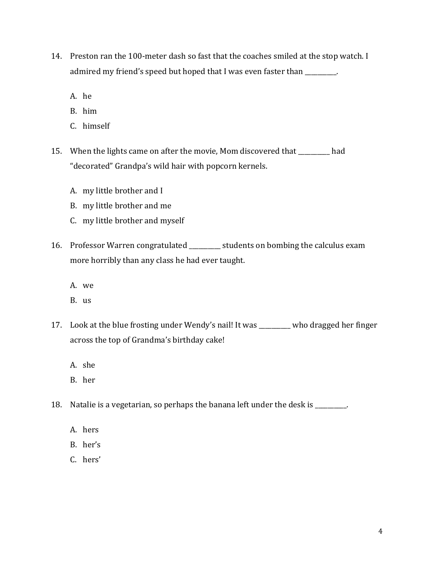- 14. Preston ran the 100-meter dash so fast that the coaches smiled at the stop watch. I admired my friend's speed but hoped that I was even faster than \_\_\_\_\_\_\_\_.
	- A. he
	- B. him
	- C. himself
- 15. When the lights came on after the movie, Mom discovered that \_\_\_\_\_\_\_\_\_\_ had "decorated" Grandpa's wild hair with popcorn kernels.
	- A. my little brother and I
	- B. my little brother and me
	- C. my little brother and myself
- 16. Professor Warren congratulated \_\_\_\_\_\_\_\_\_\_ students on bombing the calculus exam more horribly than any class he had ever taught.
	- A. we
	- B. us
- 17. Look at the blue frosting under Wendy's nail! It was \_\_\_\_\_\_\_\_\_\_ who dragged her finger across the top of Grandma's birthday cake!
	- A. she
	- B. her
- 18. Natalie is a vegetarian, so perhaps the banana left under the desk is \_\_\_\_\_\_\_\_\_\_.
	- A. hers
	- B. her's
	- C. hers'